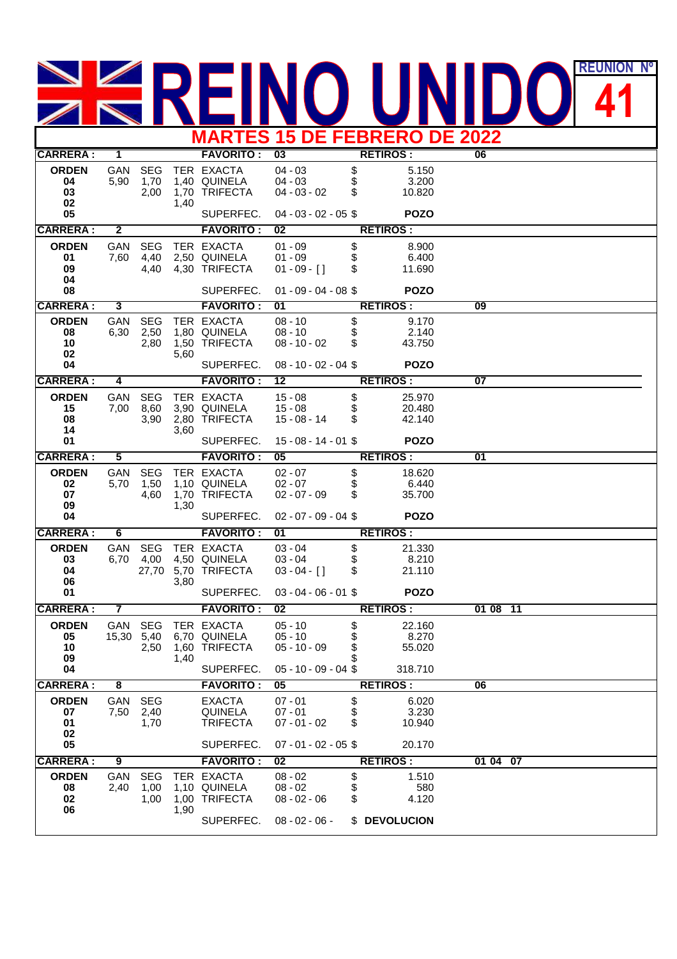## REUNION **REUNIÓN Nº MARTES 15 DE FEBRERO DE 2022**

|                    |                         |                    |      |                            |                        |          | MANILU IJ DE I LDILENU DE ZUZZ |                 |  |
|--------------------|-------------------------|--------------------|------|----------------------------|------------------------|----------|--------------------------------|-----------------|--|
| <b>CARRERA:</b>    | 1                       |                    |      | <b>FAVORITO:</b>           | $\overline{03}$        |          | <b>RETIROS:</b>                | 06              |  |
| <b>ORDEN</b>       | GAN                     | <b>SEG</b>         |      | TER EXACTA                 | $04 - 03$              | \$       | 5.150                          |                 |  |
| 04                 | 5,90                    | 1,70               |      | 1,40 QUINELA               | $04 - 03$              | \$       | 3.200                          |                 |  |
| 03<br>02           |                         | 2,00               | 1,40 | 1,70 TRIFECTA              | $04 - 03 - 02$         | \$       | 10.820                         |                 |  |
| 05                 |                         |                    |      | SUPERFEC.                  | $04 - 03 - 02 - 05$ \$ |          | <b>POZO</b>                    |                 |  |
| <b>CARRERA:</b>    | $\overline{2}$          |                    |      | <b>FAVORITO:</b>           | 02                     |          | <b>RETIROS:</b>                |                 |  |
| <b>ORDEN</b>       | GAN                     | <b>SEG</b>         |      | TER EXACTA                 | $01 - 09$              | \$       | 8.900                          |                 |  |
| 01                 | 7,60                    | 4,40               |      | 2,50 QUINELA               | $01 - 09$              | \$       | 6.400                          |                 |  |
| 09                 |                         | 4,40               |      | 4,30 TRIFECTA              | $01 - 09 - [$ ]        | \$       | 11.690                         |                 |  |
| 04<br>08           |                         |                    |      | SUPERFEC.                  | $01 - 09 - 04 - 08$    |          | <b>POZO</b>                    |                 |  |
|                    |                         |                    |      |                            | 01                     |          |                                |                 |  |
| <b>CARRERA:</b>    | 3                       |                    |      | <b>FAVORITO:</b>           |                        |          | <b>RETIROS:</b>                | 09              |  |
| <b>ORDEN</b><br>08 | GAN<br>6,30             | <b>SEG</b><br>2,50 |      | TER EXACTA<br>1,80 QUINELA | $08 - 10$<br>$08 - 10$ | \$<br>\$ | 9.170<br>2.140                 |                 |  |
| 10                 |                         | 2,80               |      | 1,50 TRIFECTA              | $08 - 10 - 02$         | \$       | 43.750                         |                 |  |
| 02                 |                         |                    | 5,60 |                            |                        |          |                                |                 |  |
| 04                 |                         |                    |      | SUPERFEC.                  | $08 - 10 - 02 - 04$ \$ |          | <b>POZO</b>                    |                 |  |
| <b>CARRERA:</b>    | 4                       |                    |      | <b>FAVORITO:</b>           | 12                     |          | <b>RETIROS:</b>                | 07              |  |
| <b>ORDEN</b>       | GAN                     | <b>SEG</b>         |      | TER EXACTA                 | $15 - 08$              | \$       | 25.970                         |                 |  |
| 15                 | 7,00                    | 8,60               |      | 3,90 QUINELA               | $15 - 08$              | \$       | 20.480                         |                 |  |
| 08                 |                         | 3,90               |      | 2,80 TRIFECTA              | $15 - 08 - 14$         | \$       | 42.140                         |                 |  |
| 14<br>01           |                         |                    | 3.60 | SUPERFEC.                  | $15 - 08 - 14 - 01$ \$ |          | <b>POZO</b>                    |                 |  |
| <b>CARRERA:</b>    | 5                       |                    |      | <b>FAVORITO:</b>           | $\overline{05}$        |          | <b>RETIROS:</b>                | $\overline{01}$ |  |
| <b>ORDEN</b>       | GAN                     | <b>SEG</b>         |      | TER EXACTA                 | $02 - 07$              | \$       | 18.620                         |                 |  |
| 02                 | 5,70                    | 1,50               |      | 1,10 QUINELA               | $02 - 07$              | \$       | 6.440                          |                 |  |
| 07                 |                         | 4,60               |      | 1,70 TRIFECTA              | $02 - 07 - 09$         | \$       | 35.700                         |                 |  |
| 09<br>04           |                         |                    | 1,30 | SUPERFEC.                  | $02 - 07 - 09 - 04$ \$ |          | <b>POZO</b>                    |                 |  |
| <b>CARRERA:</b>    | 6                       |                    |      | <b>FAVORITO:</b>           | 01                     |          | <b>RETIROS:</b>                |                 |  |
| <b>ORDEN</b>       | GAN                     | <b>SEG</b>         |      | TER EXACTA                 | $03 - 04$              | \$       | 21.330                         |                 |  |
| 03                 | 6,70                    | 4,00               |      | 4,50 QUINELA               | $03 - 04$              | \$       | 8.210                          |                 |  |
| 04                 |                         | 27,70              |      | 5,70 TRIFECTA              | $03 - 04 - [$ ]        | \$       | 21.110                         |                 |  |
| 06                 |                         |                    | 3,80 |                            |                        |          |                                |                 |  |
| 01                 |                         |                    |      | SUPERFEC.                  | $03 - 04 - 06 - 01$ \$ |          | <b>POZO</b>                    |                 |  |
| <b>CARRERA:</b>    | $\overline{\mathbf{7}}$ |                    |      | <b>FAVORITO:</b>           | $\overline{02}$        |          | <b>RETIROS:</b>                | 01 08 11        |  |
| <b>ORDEN</b>       | GAN                     | <b>SEG</b>         |      | TER EXACTA                 | $05 - 10$              | \$       | 22.160                         |                 |  |
| 05                 | 15,30 5,40              |                    |      | 6,70 QUINELA               | $05 - 10$              | \$       | 8.270                          |                 |  |
| 10<br>09           |                         | 2,50               | 1,40 | 1,60 TRIFECTA              | $05 - 10 - 09$         | \$<br>\$ | 55.020                         |                 |  |
| 04                 |                         |                    |      | SUPERFEC.                  | $05 - 10 - 09 - 04$ \$ |          | 318.710                        |                 |  |
| <b>CARRERA:</b>    | $\overline{\mathbf{8}}$ |                    |      | <b>FAVORITO:</b>           | 05                     |          | <b>RETIROS:</b>                | 06              |  |
| <b>ORDEN</b>       | GAN                     | <b>SEG</b>         |      | <b>EXACTA</b>              | $07 - 01$              | \$       | 6.020                          |                 |  |
| 07                 | 7,50                    | 2,40               |      | <b>QUINELA</b>             | $07 - 01$              | \$       | 3.230                          |                 |  |
| 01                 |                         | 1,70               |      | <b>TRIFECTA</b>            | $07 - 01 - 02$         | \$       | 10.940                         |                 |  |
| 02<br>05           |                         |                    |      | SUPERFEC.                  | $07 - 01 - 02 - 05$ \$ |          | 20.170                         |                 |  |
| <b>CARRERA:</b>    | 9                       |                    |      | <b>FAVORITO:</b>           | 02                     |          | <b>RETIROS:</b>                | 01 04 07        |  |
| <b>ORDEN</b>       | GAN                     | <b>SEG</b>         |      | TER EXACTA                 | $08 - 02$              | \$       | 1.510                          |                 |  |
| 08                 | 2,40                    | 1,00               |      | 1,10 QUINELA               | $08 - 02$              | \$       | 580                            |                 |  |
| 02                 |                         | 1,00               |      | 1,00 TRIFECTA              | $08 - 02 - 06$         | \$       | 4.120                          |                 |  |
| 06                 |                         |                    | 1,90 |                            |                        |          |                                |                 |  |
|                    |                         |                    |      | SUPERFEC.                  | $08 - 02 - 06 -$       |          | \$ DEVOLUCION                  |                 |  |